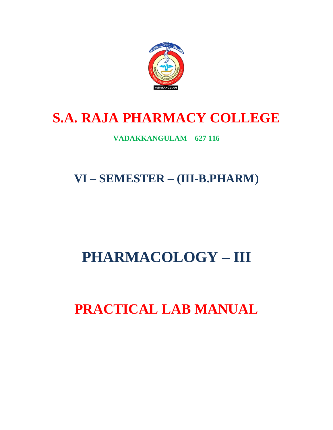

# **S.A. RAJA PHARMACY COLLEGE**

## **VADAKKANGULAM – 627 116**

**VI – SEMESTER – (III-B.PHARM)**

# **PHARMACOLOGY – III**

**PRACTICAL LAB MANUAL**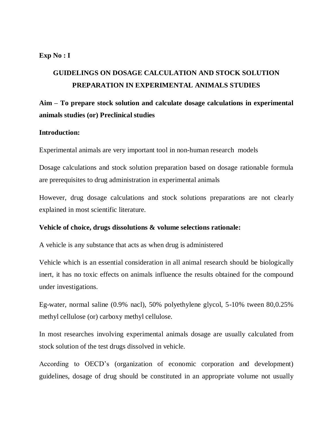#### **Exp No : I**

## **GUIDELINGS ON DOSAGE CALCULATION AND STOCK SOLUTION PREPARATION IN EXPERIMENTAL ANIMALS STUDIES**

## **Aim – To prepare stock solution and calculate dosage calculations in experimental animals studies (or) Preclinical studies**

#### **Introduction:**

Experimental animals are very important tool in non-human research models

Dosage calculations and stock solution preparation based on dosage rationable formula are prerequisites to drug administration in experimental animals

However, drug dosage calculations and stock solutions preparations are not clearly explained in most scientific literature.

#### **Vehicle of choice, drugs dissolutions & volume selections rationale:**

A vehicle is any substance that acts as when drug is administered

Vehicle which is an essential consideration in all animal research should be biologically inert, it has no toxic effects on animals influence the results obtained for the compound under investigations.

Eg-water, normal saline (0.9% nacl), 50% polyethylene glycol, 5-10% tween 80,0.25% methyl cellulose (or) carboxy methyl cellulose.

In most researches involving experimental animals dosage are usually calculated from stock solution of the test drugs dissolved in vehicle.

According to OECD's (organization of economic corporation and development) guidelines, dosage of drug should be constituted in an appropriate volume not usually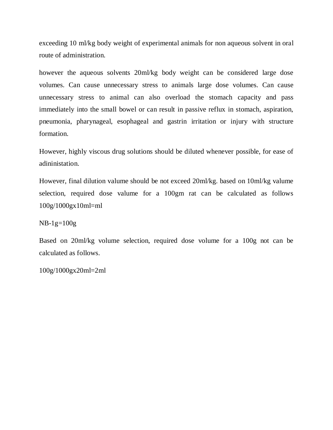exceeding 10 ml/kg body weight of experimental animals for non aqueous solvent in oral route of administration.

however the aqueous solvents 20ml/kg body weight can be considered large dose volumes. Can cause unnecessary stress to animals large dose volumes. Can cause unnecessary stress to animal can also overload the stomach capacity and pass immediately into the small bowel or can result in passive reflux in stomach, aspiration, pneumonia, pharynageal, esophageal and gastrin irritation or injury with structure formation.

However, highly viscous drug solutions should be diluted whenever possible, for ease of adininistation.

However, final dilution valume should be not exceed 20ml/kg. based on 10ml/kg valume selection, required dose valume for a 100gm rat can be calculated as follows 100g/1000gx10ml=ml

 $NB-1g=100g$ 

Based on 20ml/kg volume selection, required dose volume for a 100g not can be calculated as follows.

100g/1000gx20ml=2ml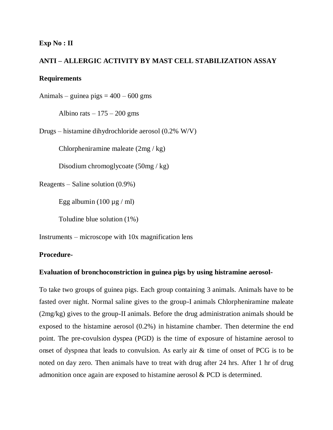#### **Exp No : II**

### **ANTI – ALLERGIC ACTIVITY BY MAST CELL STABILIZATION ASSAY**

#### **Requirements**

Animals – guinea pigs  $= 400 - 600$  gms

Albino rats  $-175 - 200$  gms

Drugs – histamine dihydrochloride aerosol (0.2% W/V)

Chlorpheniramine maleate (2mg / kg)

Disodium chromoglycoate (50mg / kg)

Reagents – Saline solution (0.9%)

Egg albumin (100  $\mu$ g / ml)

Toludine blue solution (1%)

Instruments – microscope with 10x magnification lens

#### **Procedure-**

#### **Evaluation of bronchoconstriction in guinea pigs by using histramine aerosol-**

To take two groups of guinea pigs. Each group containing 3 animals. Animals have to be fasted over night. Normal saline gives to the group-I animals Chlorpheniramine maleate (2mg/kg) gives to the group-II animals. Before the drug administration animals should be exposed to the histamine aerosol (0.2%) in histamine chamber. Then determine the end point. The pre-covulsion dyspea (PGD) is the time of exposure of histamine aerosol to onset of dyspnea that leads to convulsion. As early air & time of onset of PCG is to be noted on day zero. Then animals have to treat with drug after 24 hrs. After 1 hr of drug admonition once again are exposed to histamine aerosol & PCD is determined.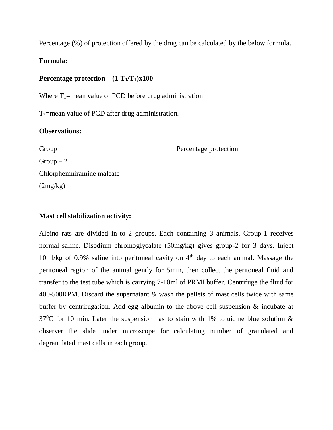Percentage (%) of protection offered by the drug can be calculated by the below formula.

## **Formula:**

## **Percentage protection –**  $(1-T_1/T_1)x100$

Where  $T_1$ =mean value of PCD before drug administration

T2=mean value of PCD after drug administration.

#### **Observations:**

| Group                     | Percentage protection |
|---------------------------|-----------------------|
| $Group-2$                 |                       |
| Chlorphemniramine maleate |                       |
| (2mg/kg)                  |                       |

## **Mast cell stabilization activity:**

Albino rats are divided in to 2 groups. Each containing 3 animals. Group-1 receives normal saline. Disodium chromoglycalate (50mg/kg) gives group-2 for 3 days. Inject  $10$ ml/kg of 0.9% saline into peritoneal cavity on  $4<sup>th</sup>$  day to each animal. Massage the peritoneal region of the animal gently for 5min, then collect the peritoneal fluid and transfer to the test tube which is carrying 7-10ml of PRMI buffer. Centrifuge the fluid for 400-500RPM. Discard the supernatant & wash the pellets of mast cells twice with same buffer by centrifugation. Add egg albumin to the above cell suspension & incubate at  $37^{\circ}$ C for 10 min. Later the suspension has to stain with 1% toluidine blue solution & observer the slide under microscope for calculating number of granulated and degranulated mast cells in each group.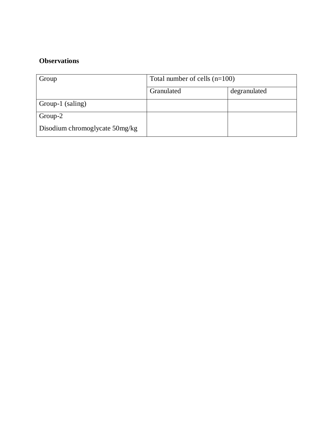## **Observations**

| Group                          | Total number of cells $(n=100)$ |              |
|--------------------------------|---------------------------------|--------------|
|                                | Granulated                      | degranulated |
| Group-1 (saling)               |                                 |              |
| Group-2                        |                                 |              |
| Disodium chromoglycate 50mg/kg |                                 |              |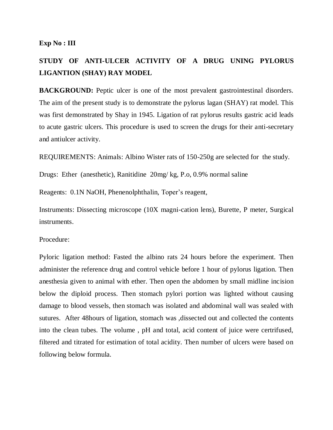#### **Exp No : III**

## **STUDY OF ANTI-ULCER ACTIVITY OF A DRUG UNING PYLORUS LIGANTION (SHAY) RAY MODEL**

**BACKGROUND:** Peptic ulcer is one of the most prevalent gastrointestinal disorders. The aim of the present study is to demonstrate the pylorus lagan (SHAY) rat model. This was first demonstrated by Shay in 1945. Ligation of rat pylorus results gastric acid leads to acute gastric ulcers. This procedure is used to screen the drugs for their anti-secretary and antiulcer activity.

REQUIREMENTS: Animals: Albino Wister rats of 150-250g are selected for the study.

Drugs: Ether (anesthetic), Ranitidine 20mg/ kg, P.o, 0.9% normal saline

Reagents: 0.1N NaOH, Phenenolphthalin, Toper's reagent,

Instruments: Dissecting microscope (10X magni-cation lens), Burette, P meter, Surgical instruments.

Procedure:

Pyloric ligation method: Fasted the albino rats 24 hours before the experiment. Then administer the reference drug and control vehicle before 1 hour of pylorus ligation. Then anesthesia given to animal with ether. Then open the abdomen by small midline incision below the diploid process. Then stomach pylori portion was lighted without causing damage to blood vessels, then stomach was isolated and abdominal wall was sealed with sutures. After 48hours of ligation, stomach was ,dissected out and collected the contents into the clean tubes. The volume , pH and total, acid content of juice were certrifused, filtered and titrated for estimation of total acidity. Then number of ulcers were based on following below formula.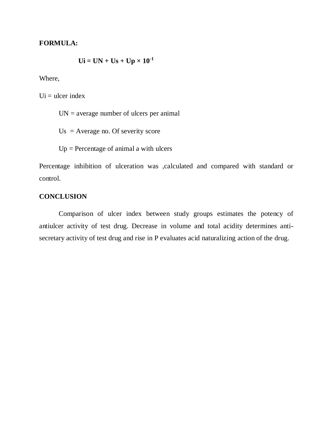#### **FORMULA:**

$$
Ui = UN + Us + Up \times 10^{-1}
$$

Where,

 $U$ i = ulcer index

 $UN = average number of ulcers per animal$ 

 $Us = Average no$ . Of severity score

 $Up = Percentage of animal a with ulcers$ 

Percentage inhibition of ulceration was ,calculated and compared with standard or control.

## **CONCLUSION**

Comparison of ulcer index between study groups estimates the potency of antiulcer activity of test drug. Decrease in volume and total acidity determines antisecretary activity of test drug and rise in P evaluates acid naturalizing action of the drug.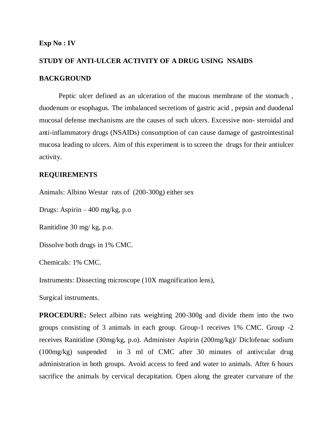#### **Exp No : IV**

## **STUDY OF ANTI-ULCER ACTIVITY OF A DRUG USING NSAIDS BACKGROUND**

Peptic ulcer defined as an ulceration of the mucous membrane of the stomach , duodenum or esophagus. The imbalanced secretions of gastric acid , pepsin and duodenal mucosal defense mechanisms are the causes of such ulcers. Excessive non- steroidal and anti-inflammatory drugs (NSAIDs) consumption of can cause damage of gastrointestinal mucosa leading to ulcers. Aim of this experiment is to screen the drugs for their antiulcer activity.

#### **REQUIREMENTS**

Animals: Albino Westar rats of (200-300g) either sex

Drugs: Aspirin – 400 mg/kg, p.o

Ranitidine 30 mg/ kg, p.o.

Dissolve both drugs in 1% CMC.

Chemicals: 1% CMC.

Instruments: Dissecting microscope (10X magnification lens),

Surgical instruments.

**PROCEDURE:** Select albino rats weighting 200-300g and divide them into the two groups consisting of 3 animals in each group. Group-1 receives 1% CMC. Group -2 receives Ranitidine (30mg/kg, p.o). Administer Aspirin (200mg/kg)/ Diclofenac sodium (100mg/kg) suspended in 3 ml of CMC after 30 minutes of antivcular drug administration in both groups. Avoid access to feed and water to animals. After 6 hours sacrifice the animals by cervical decapitation. Open along the greater curvature of the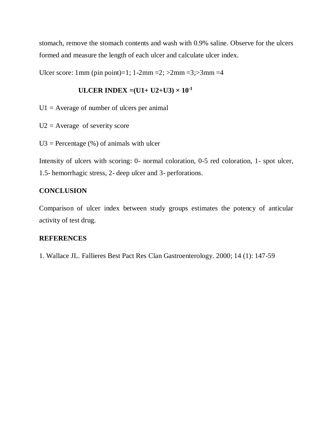stomach, remove the stomach contents and wash with 0.9% saline. Observe for the ulcers formed and measure the length of each ulcer and calculate ulcer index.

Ulcer score: 1mm (pin point)=1;  $1-2mm = 2$ ;  $>2mm = 3$ ;  $>3mm = 4$ 

## **ULCER INDEX** =  $(U1 + U2 + U3) \times 10^{-1}$

 $U1 =$  Average of number of ulcers per animal

 $U2$  = Average of severity score

 $U3 =$  Percentage (%) of animals with ulcer

Intensity of ulcers with scoring: 0- normal coloration, 0-5 red coloration, 1- spot ulcer, 1.5- hemorrhagic stress, 2- deep ulcer and 3- perforations.

#### **CONCLUSION**

Comparison of ulcer index between study groups estimates the potency of anticular activity of test drug.

#### **REFERENCES**

1. Wallace JL. Fallieres Best Pact Res Clan Gastroenterology. 2000; 14 (1): 147-59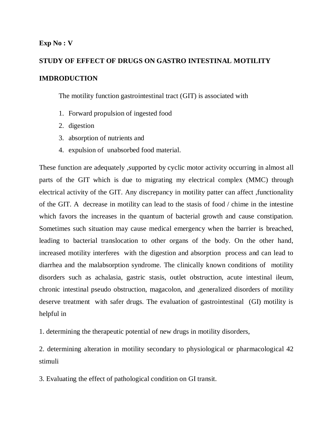#### **Exp No : V**

## **STUDY OF EFFECT OF DRUGS ON GASTRO INTESTINAL MOTILITY IMDRODUCTION**

The motility function gastrointestinal tract (GIT) is associated with

- 1. Forward propulsion of ingested food
- 2. digestion
- 3. absorption of nutrients and
- 4. expulsion of unabsorbed food material.

These function are adequately ,supported by cyclic motor activity occurring in almost all parts of the GIT which is due to migrating my electrical complex (MMC) through electrical activity of the GIT. Any discrepancy in motility patter can affect ,functionality of the GIT. A decrease in motility can lead to the stasis of food / chime in the intestine which favors the increases in the quantum of bacterial growth and cause constipation. Sometimes such situation may cause medical emergency when the barrier is breached, leading to bacterial translocation to other organs of the body. On the other hand, increased motility interferes with the digestion and absorption process and can lead to diarrhea and the malabsorption syndrome. The clinically known conditions of motility disorders such as achalasia, gastric stasis, outlet obstruction, acute intestinal ileum, chronic intestinal pseudo obstruction, magacolon, and ,generalized disorders of motility deserve treatment with safer drugs. The evaluation of gastrointestinal (GI) motility is helpful in

1. determining the therapeutic potential of new drugs in motility disorders,

2. determining alteration in motility secondary to physiological or pharmacological 42 stimuli

3. Evaluating the effect of pathological condition on GI transit.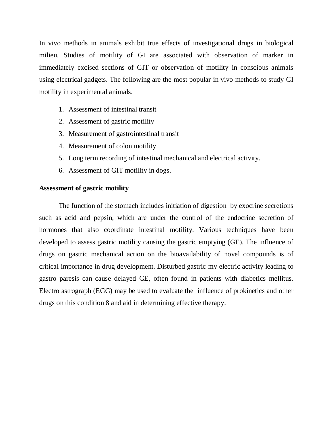In vivo methods in animals exhibit true effects of investigational drugs in biological milieu. Studies of motility of GI are associated with observation of marker in immediately excised sections of GIT or observation of motility in conscious animals using electrical gadgets. The following are the most popular in vivo methods to study GI motility in experimental animals.

- 1. Assessment of intestinal transit
- 2. Assessment of gastric motility
- 3. Measurement of gastrointestinal transit
- 4. Measurement of colon motility
- 5. Long term recording of intestinal mechanical and electrical activity.
- 6. Assessment of GIT motility in dogs.

#### **Assessment of gastric motility**

The function of the stomach includes initiation of digestion by exocrine secretions such as acid and pepsin, which are under the control of the endocrine secretion of hormones that also coordinate intestinal motility. Various techniques have been developed to assess gastric motility causing the gastric emptying (GE). The influence of drugs on gastric mechanical action on the bioavailability of novel compounds is of critical importance in drug development. Disturbed gastric my electric activity leading to gastro paresis can cause delayed GE, often found in patients with diabetics mellitus. Electro astrograph (EGG) may be used to evaluate the influence of prokinetics and other drugs on this condition 8 and aid in determining effective therapy.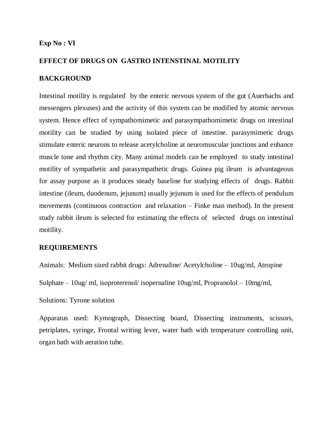#### **Exp No : VI**

#### **EFFECT OF DRUGS ON GASTRO INTENSTINAL MOTILITY**

#### **BACKGROUND**

Intestinal motility is regulated by the enteric nervous system of the gut (Auerbachs and messengers plexuses) and the activity of this system can be modified by atomic nervous system. Hence effect of sympathomimetic and parasympathomimetic drugs on intestinal motility can be studied by using isolated piece of intestine. parasymimetic drugs stimulate enteric neurons to release acetylcholine at neuromuscular junctions and enhance muscle tone and rhythm city. Many animal models can be employed to study intestinal motility of sympathetic and parasympathetic drugs. Guinea pig ileum is advantageous for assay purpose as it produces steady baseline for studying effects of drugs. Rabbit intestine (ileum, duodenum, jejunum) usually jejunum is used for the effects of pendulum movements (continuous contraction and relaxation – Finke man method). In the present study rabbit ileum is selected for estimating the effects of selected drugs on intestinal motility.

#### **REQUIREMENTS**

Animals: Medium sized rabbit drugs: Adrenaline/ Acetylcholine – 10ug/ml, Atropine

Sulphate – 10ug/ ml, isoproterenol/ isopernaline 10ug/ml, Propranolol – 10mg/ml,

Solutions: Tyrone solution

Apparatus used: Kymograph, Dissecting board, Dissecting instruments, scissors, petriplates, syringe, Frontal writing lever, water bath with temperature controlling unit, organ bath with aeration tube.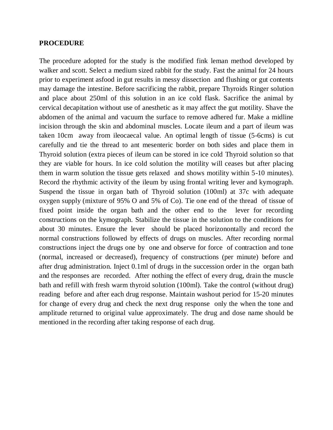#### **PROCEDURE**

The procedure adopted for the study is the modified fink leman method developed by walker and scott. Select a medium sized rabbit for the study. Fast the animal for 24 hours prior to experiment asfood in gut results in messy dissection and flushing or gut contents may damage the intestine. Before sacrificing the rabbit, prepare Thyroids Ringer solution and place about 250ml of this solution in an ice cold flask. Sacrifice the animal by cervical decapitation without use of anesthetic as it may affect the gut motility. Shave the abdomen of the animal and vacuum the surface to remove adhered fur. Make a midline incision through the skin and abdominal muscles. Locate ileum and a part of ileum was taken 10cm away from ileocaecal value. An optimal length of tissue (5-6cms) is cut carefully and tie the thread to ant mesenteric border on both sides and place them in Thyroid solution (extra pieces of ileum can be stored in ice cold Thyroid solution so that they are viable for hours. In ice cold solution the motility will ceases but after placing them in warm solution the tissue gets relaxed and shows motility within 5-10 minutes). Record the rhythmic activity of the ileum by using frontal writing lever and kymograph. Suspend the tissue in organ bath of Thyroid solution (100ml) at 37c with adequate oxygen supply (mixture of 95% O and 5% of Co). Tie one end of the thread of tissue of fixed point inside the organ bath and the other end to the lever for recording constructions on the kymograph. Stabilize the tissue in the solution to the conditions for about 30 minutes. Ensure the lever should be placed horizonontally and record the normal constructions followed by effects of drugs on muscles. After recording normal constructions inject the drugs one by one and observe for force of contraction and tone (normal, increased or decreased), frequency of constructions (per minute) before and after drug administration. Inject 0.1ml of drugs in the succession order in the organ bath and the responses are recorded. After nothing the effect of every drug, drain the muscle bath and refill with fresh warm thyroid solution (100ml). Take the control (without drug) reading before and after each drug response. Maintain washout period for 15-20 minutes for change of every drug and check the next drug response only the when the tone and amplitude returned to original value approximately. The drug and dose name should be mentioned in the recording after taking response of each drug.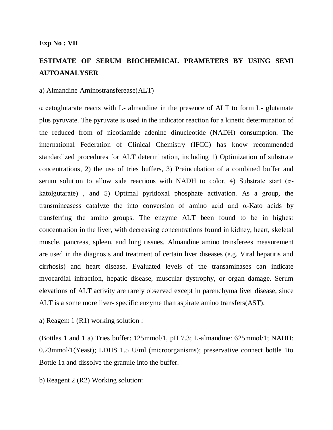## **ESTIMATE OF SERUM BIOCHEMICAL PRAMETERS BY USING SEMI AUTOANALYSER**

#### a) Almandine Aminostransferease(ALT)

 $\alpha$  cetoglutarate reacts with L- almandine in the presence of ALT to form L- glutamate plus pyruvate. The pyruvate is used in the indicator reaction for a kinetic determination of the reduced from of nicotiamide adenine dinucleotide (NADH) consumption. The international Federation of Clinical Chemistry (IFCC) has know recommended standardized procedures for ALT determination, including 1) Optimization of substrate concentrations, 2) the use of tries buffers, 3) Preincubation of a combined buffer and serum solution to allow side reactions with NADH to color, 4) Substrate start ( $\alpha$ katolgutarate) , and 5) Optimal pyridoxal phosphate activation. As a group, the transmineasess catalyze the into conversion of amino acid and α-Kato acids by transferring the amino groups. The enzyme ALT been found to be in highest concentration in the liver, with decreasing concentrations found in kidney, heart, skeletal muscle, pancreas, spleen, and lung tissues. Almandine amino transferees measurement are used in the diagnosis and treatment of certain liver diseases (e.g. Viral hepatitis and cirrhosis) and heart disease. Evaluated levels of the transaminases can indicate myocardial infraction, hepatic disease, muscular dystrophy, or organ damage. Serum elevations of ALT activity are rarely observed except in parenchyma liver disease, since ALT is a some more liver- specific enzyme than aspirate amino transfers(AST).

a) Reagent 1 (R1) working solution :

(Bottles 1 and 1 a) Tries buffer: 125mmol/1, pH 7.3; L-almandine: 625mmol/1; NADH: 0.23mmol/1(Yeast); LDHS 1.5 U/ml (microorganisms); preservative connect bottle 1to Bottle 1a and dissolve the granule into the buffer.

b) Reagent 2 (R2) Working solution: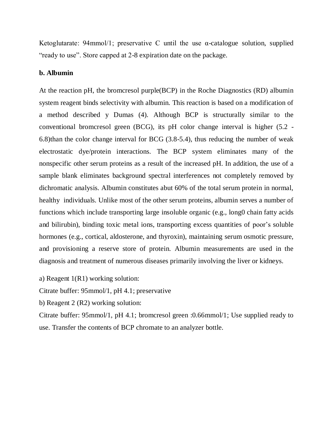Ketoglutarate:  $94$ mmol/1; preservative C until the use  $\alpha$ -catalogue solution, supplied "ready to use". Store capped at 2-8 expiration date on the package.

#### **b. Albumin**

At the reaction pH, the bromcresol purple(BCP) in the Roche Diagnostics (RD) albumin system reagent binds selectivity with albumin. This reaction is based on a modification of a method described y Dumas (4). Although BCP is structurally similar to the conventional bromcresol green (BCG), its pH color change interval is higher (5.2 - 6.8)than the color change interval for BCG (3.8-5.4), thus reducing the number of weak electrostatic dye/protein interactions. The BCP system eliminates many of the nonspecific other serum proteins as a result of the increased pH. In addition, the use of a sample blank eliminates background spectral interferences not completely removed by dichromatic analysis. Albumin constitutes abut 60% of the total serum protein in normal, healthy individuals. Unlike most of the other serum proteins, albumin serves a number of functions which include transporting large insoluble organic (e.g., long0 chain fatty acids and bilirubin), binding toxic metal ions, transporting excess quantities of poor's soluble hormones (e.g., cortical, aldosterone, and thyroxin), maintaining serum osmotic pressure, and provisioning a reserve store of protein. Albumin measurements are used in the diagnosis and treatment of numerous diseases primarily involving the liver or kidneys.

a) Reagent 1(R1) working solution:

Citrate buffer: 95mmol/1, pH 4.1; preservative

b) Reagent 2 (R2) working solution:

Citrate buffer: 95mmol/1, pH 4.1; bromcresol green :0.66mmol/1; Use supplied ready to use. Transfer the contents of BCP chromate to an analyzer bottle.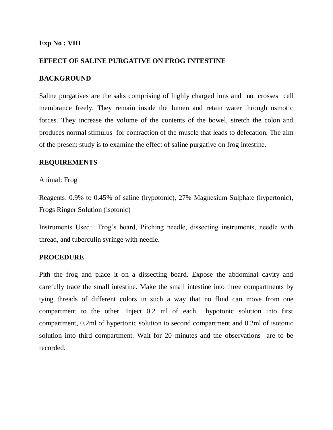#### **Exp No : VIII**

#### **EFFECT OF SALINE PURGATIVE ON FROG INTESTINE**

#### **BACKGROUND**

Saline purgatives are the salts comprising of highly charged ions and not crosses cell membrance freely. They remain inside the lumen and retain water through osmotic forces. They increase the volume of the contents of the bowel, stretch the colon and produces normal stimulus for contraction of the muscle that leads to defecation. The aim of the present study is to examine the effect of saline purgative on frog intestine.

#### **REQUIREMENTS**

Animal: Frog

Reagents: 0.9% to 0.45% of saline (hypotonic), 27% Magnesium Sulphate (hypertonic), Frogs Ringer Solution (isotonic)

Instruments Used: Frog's board, Pitching needle, dissecting instruments, needle with thread, and tuberculin syringe with needle.

#### **PROCEDURE**

Pith the frog and place it on a dissecting board. Expose the abdominal cavity and carefully trace the small intestine. Make the small intestine into three compartments by tying threads of different colors in such a way that no fluid can move from one compartment to the other. Inject 0.2 ml of each hypotonic solution into first compartment, 0.2ml of hypertonic solution to second compartment and 0.2ml of isotonic solution into third compartment. Wait for 20 minutes and the observations are to be recorded.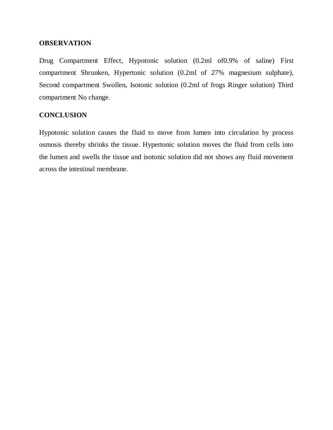#### **OBSERVATION**

Drug Compartment Effect, Hypotonic solution (0.2ml of0.9% of saline) First compartment Shrunken, Hypertonic solution (0.2ml of 27% magnesium sulphate), Second compartment Swollen, Isotonic solution (0.2ml of frogs Ringer solution) Third compartment No change.

## **CONCLUSION**

Hypotonic solution causes the fluid to move from lumen into circulation by process osmosis thereby shrinks the tissue. Hypertonic solution moves the fluid from cells into the lumen and swells the tissue and isotonic solution did not shows any fluid movement across the intestinal membrane.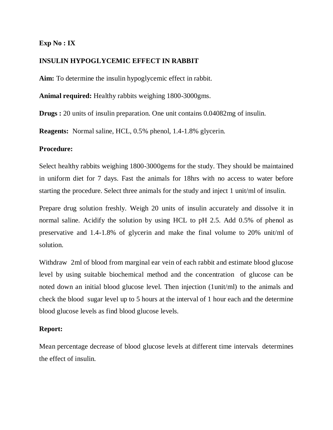### **Exp No : IX**

## **INSULIN HYPOGLYCEMIC EFFECT IN RABBIT**

**Aim:** To determine the insulin hypoglycemic effect in rabbit.

**Animal required:** Healthy rabbits weighing 1800-3000gms.

**Drugs :** 20 units of insulin preparation. One unit contains 0.04082mg of insulin.

**Reagents:** Normal saline, HCL, 0.5% phenol, 1.4-1.8% glycerin.

#### **Procedure:**

Select healthy rabbits weighing 1800-3000gems for the study. They should be maintained in uniform diet for 7 days. Fast the animals for 18hrs with no access to water before starting the procedure. Select three animals for the study and inject 1 unit/ml of insulin.

Prepare drug solution freshly. Weigh 20 units of insulin accurately and dissolve it in normal saline. Acidify the solution by using HCL to pH 2.5. Add 0.5% of phenol as preservative and 1.4-1.8% of glycerin and make the final volume to 20% unit/ml of solution.

Withdraw 2ml of blood from marginal ear vein of each rabbit and estimate blood glucose level by using suitable biochemical method and the concentration of glucose can be noted down an initial blood glucose level. Then injection (1unit/ml) to the animals and check the blood sugar level up to 5 hours at the interval of 1 hour each and the determine blood glucose levels as find blood glucose levels.

#### **Report:**

Mean percentage decrease of blood glucose levels at different time intervals determines the effect of insulin.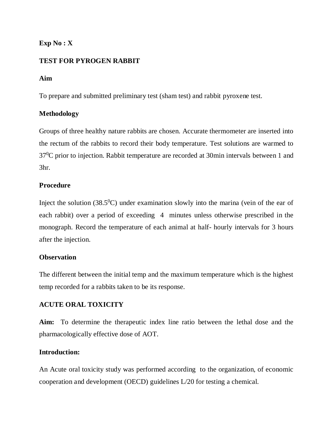## **Exp No : X**

## **TEST FOR PYROGEN RABBIT**

#### **Aim**

To prepare and submitted preliminary test (sham test) and rabbit pyroxene test.

## **Methodology**

Groups of three healthy nature rabbits are chosen. Accurate thermometer are inserted into the rectum of the rabbits to record their body temperature. Test solutions are warmed to  $37^{\circ}$ C prior to injection. Rabbit temperature are recorded at 30min intervals between 1 and 3hr.

### **Procedure**

Inject the solution  $(38.5^0C)$  under examination slowly into the marina (vein of the ear of each rabbit) over a period of exceeding 4 minutes unless otherwise prescribed in the monograph. Record the temperature of each animal at half- hourly intervals for 3 hours after the injection.

#### **Observation**

The different between the initial temp and the maximum temperature which is the highest temp recorded for a rabbits taken to be its response.

## **ACUTE ORAL TOXICITY**

**Aim:** To determine the therapeutic index line ratio between the lethal dose and the pharmacologically effective dose of AOT.

## **Introduction:**

An Acute oral toxicity study was performed according to the organization, of economic cooperation and development (OECD) guidelines L/20 for testing a chemical.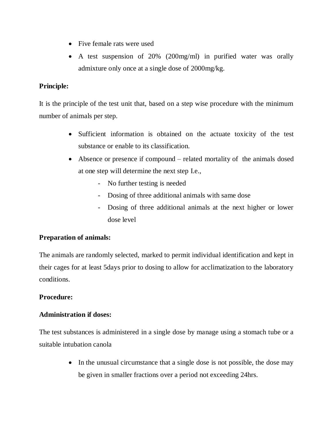- Five female rats were used
- A test suspension of 20% (200mg/ml) in purified water was orally admixture only once at a single dose of 2000mg/kg.

## **Principle:**

It is the principle of the test unit that, based on a step wise procedure with the minimum number of animals per step.

- Sufficient information is obtained on the actuate toxicity of the test substance or enable to its classification.
- Absence or presence if compound related mortality of the animals dosed at one step will determine the next step I.e.,
	- No further testing is needed
	- Dosing of three additional animals with same dose
	- Dosing of three additional animals at the next higher or lower dose level

## **Preparation of animals:**

The animals are randomly selected, marked to permit individual identification and kept in their cages for at least 5days prior to dosing to allow for acclimatization to the laboratory conditions.

## **Procedure:**

## **Administration if doses:**

The test substances is administered in a single dose by manage using a stomach tube or a suitable intubation canola

> • In the unusual circumstance that a single dose is not possible, the dose may be given in smaller fractions over a period not exceeding 24hrs.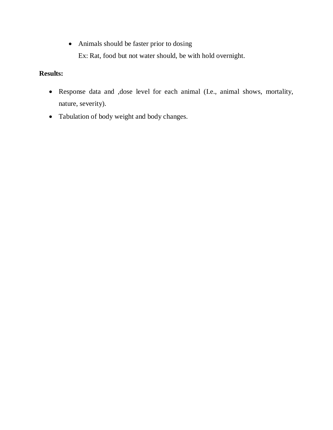Animals should be faster prior to dosing Ex: Rat, food but not water should, be with hold overnight.

## **Results:**

- Response data and ,dose level for each animal (I.e., animal shows, mortality, nature, severity).
- Tabulation of body weight and body changes.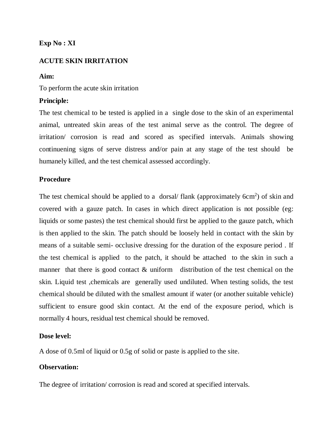## **Exp No : XI**

## **ACUTE SKIN IRRITATION**

#### **Aim:**

To perform the acute skin irritation

## **Principle:**

The test chemical to be tested is applied in a single dose to the skin of an experimental animal, untreated skin areas of the test animal serve as the control. The degree of irritation/ corrosion is read and scored as specified intervals. Animals showing continuening signs of serve distress and/or pain at any stage of the test should be humanely killed, and the test chemical assessed accordingly.

### **Procedure**

The test chemical should be applied to a dorsal/ flank (approximately  $6cm<sup>2</sup>$ ) of skin and covered with a gauze patch. In cases in which direct application is not possible (eg: liquids or some pastes) the test chemical should first be applied to the gauze patch, which is then applied to the skin. The patch should be loosely held in contact with the skin by means of a suitable semi- occlusive dressing for the duration of the exposure period . If the test chemical is applied to the patch, it should be attached to the skin in such a manner that there is good contact & uniform distribution of the test chemical on the skin. Liquid test ,chemicals are generally used undiluted. When testing solids, the test chemical should be diluted with the smallest amount if water (or another suitable vehicle) sufficient to ensure good skin contact. At the end of the exposure period, which is normally 4 hours, residual test chemical should be removed.

#### **Dose level:**

A dose of 0.5ml of liquid or 0.5g of solid or paste is applied to the site.

#### **Observation:**

The degree of irritation/ corrosion is read and scored at specified intervals.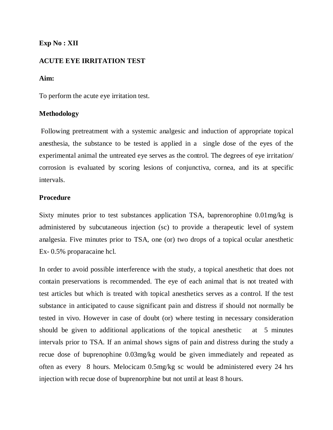## **Exp No : XII**

#### **ACUTE EYE IRRITATION TEST**

#### **Aim:**

To perform the acute eye irritation test.

#### **Methodology**

Following pretreatment with a systemic analgesic and induction of appropriate topical anesthesia, the substance to be tested is applied in a single dose of the eyes of the experimental animal the untreated eye serves as the control. The degrees of eye irritation/ corrosion is evaluated by scoring lesions of conjunctiva, cornea, and its at specific intervals.

#### **Procedure**

Sixty minutes prior to test substances application TSA, baprenorophine 0.01mg/kg is administered by subcutaneous injection (sc) to provide a therapeutic level of system analgesia. Five minutes prior to TSA, one (or) two drops of a topical ocular anesthetic Ex- 0.5% proparacaine hcl.

In order to avoid possible interference with the study, a topical anesthetic that does not contain preservations is recommended. The eye of each animal that is not treated with test articles but which is treated with topical anesthetics serves as a control. If the test substance in anticipated to cause significant pain and distress if should not normally be tested in vivo. However in case of doubt (or) where testing in necessary consideration should be given to additional applications of the topical anesthetic at 5 minutes intervals prior to TSA. If an animal shows signs of pain and distress during the study a recue dose of buprenophine 0.03mg/kg would be given immediately and repeated as often as every 8 hours. Melocicam 0.5mg/kg sc would be administered every 24 hrs injection with recue dose of buprenorphine but not until at least 8 hours.